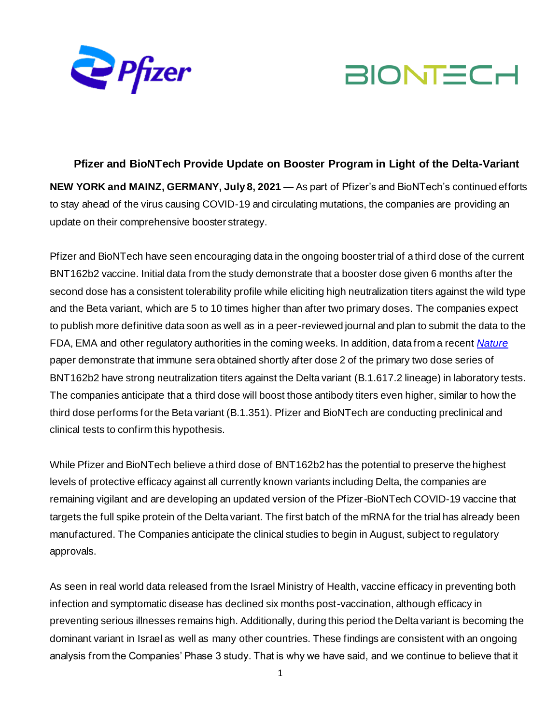



**Pfizer and BioNTech Provide Update on Booster Program in Light of the Delta-Variant NEW YORK and MAINZ, GERMANY, July 8, 2021** — As part of Pfizer's and BioNTech's continued efforts to stay ahead of the virus causing COVID-19 and circulating mutations, the companies are providing an update on their comprehensive booster strategy.

Pfizer and BioNTech have seen encouraging data in the ongoing booster trial of a third dose of the current BNT162b2 vaccine. Initial data from the study demonstrate that a booster dose given 6 months after the second dose has a consistent tolerability profile while eliciting high neutralization titers against the wild type and the Beta variant, which are 5 to 10 times higher than after two primary doses. The companies expect to publish more definitive data soon as well as in a peer-reviewed journal and plan to submit the data to the FDA, EMA and other regulatory authorities in the coming weeks. In addition, data from a recent *[Nature](https://www.nature.com/articles/s41586-021-03693-y)* paper demonstrate that immune sera obtained shortly after dose 2 of the primary two dose series of BNT162b2 have strong neutralization titers against the Delta variant (B.1.617.2 lineage) in laboratory tests. The companies anticipate that a third dose will boost those antibody titers even higher, similar to how the third dose performs for the Beta variant (B.1.351). Pfizer and BioNTech are conducting preclinical and clinical tests to confirm this hypothesis.

While Pfizer and BioNTech believe a third dose of BNT162b2 has the potential to preserve the highest levels of protective efficacy against all currently known variants including Delta, the companies are remaining vigilant and are developing an updated version of the Pfizer-BioNTech COVID-19 vaccine that targets the full spike protein of the Delta variant. The first batch of the mRNA for the trial has already been manufactured. The Companies anticipate the clinical studies to begin in August, subject to regulatory approvals.

As seen in real world data released from the Israel Ministry of Health, vaccine efficacy in preventing both infection and symptomatic disease has declined six months post-vaccination, although efficacy in preventing serious illnesses remains high. Additionally, during this period the Delta variant is becoming the dominant variant in Israel as well as many other countries. These findings are consistent with an ongoing analysis from the Companies' Phase 3 study. That is why we have said, and we continue to believe that it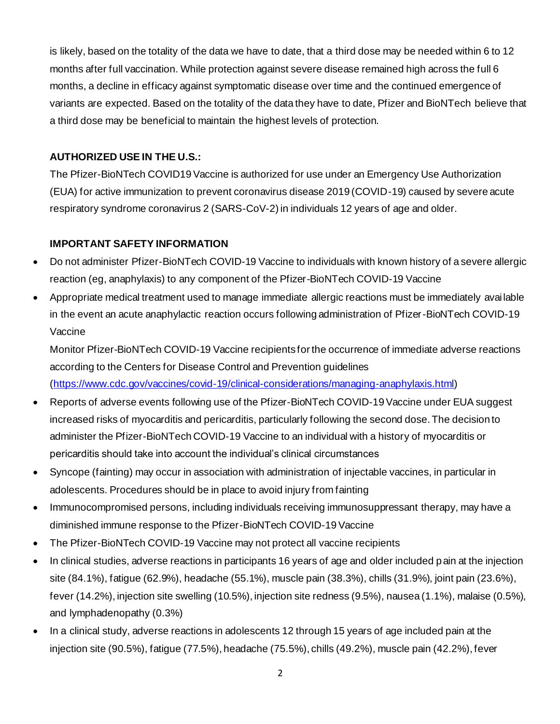is likely, based on the totality of the data we have to date, that a third dose may be needed within 6 to 12 months after full vaccination. While protection against severe disease remained high across the full 6 months, a decline in efficacy against symptomatic disease over time and the continued emergence of variants are expected. Based on the totality of the data they have to date, Pfizer and BioNTech believe that a third dose may be beneficial to maintain the highest levels of protection.

### **AUTHORIZED USE IN THE U.S.:**

The Pfizer-BioNTech COVID19 Vaccine is authorized for use under an Emergency Use Authorization (EUA) for active immunization to prevent coronavirus disease 2019 (COVID-19) caused by severe acute respiratory syndrome coronavirus 2 (SARS-CoV-2) in individuals 12 years of age and older.

## **IMPORTANT SAFETY INFORMATION**

- Do not administer Pfizer-BioNTech COVID-19 Vaccine to individuals with known history of a severe allergic reaction (eg, anaphylaxis) to any component of the Pfizer-BioNTech COVID-19 Vaccine
- Appropriate medical treatment used to manage immediate allergic reactions must be immediately avai lable in the event an acute anaphylactic reaction occurs following administration of Pfizer-BioNTech COVID-19 Vaccine

Monitor Pfizer-BioNTech COVID-19 Vaccine recipients for the occurrence of immediate adverse reactions according to the Centers for Disease Control and Prevention guidelines [\(https://www.cdc.gov/vaccines/covid-19/clinical-considerations/managing-anaphylaxis.html](https://www.cdc.gov/vaccines/covid-19/clinical-considerations/managing-anaphylaxis.html))

- Reports of adverse events following use of the Pfizer-BioNTech COVID-19 Vaccine under EUA suggest increased risks of myocarditis and pericarditis, particularly following the second dose. The decision to administer the Pfizer-BioNTech COVID-19 Vaccine to an individual with a history of myocarditis or pericarditis should take into account the individual's clinical circumstances
- Syncope (fainting) may occur in association with administration of injectable vaccines, in particular in adolescents. Procedures should be in place to avoid injury from fainting
- Immunocompromised persons, including individuals receiving immunosuppressant therapy, may have a diminished immune response to the Pfizer-BioNTech COVID-19 Vaccine
- The Pfizer-BioNTech COVID-19 Vaccine may not protect all vaccine recipients
- In clinical studies, adverse reactions in participants 16 years of age and older included pain at the injection site (84.1%), fatigue (62.9%), headache (55.1%), muscle pain (38.3%), chills (31.9%), joint pain (23.6%), fever (14.2%), injection site swelling (10.5%), injection site redness (9.5%), nausea (1.1%), malaise (0.5%), and lymphadenopathy (0.3%)
- In a clinical study, adverse reactions in adolescents 12 through 15 years of age included pain at the injection site (90.5%), fatigue (77.5%), headache (75.5%), chills (49.2%), muscle pain (42.2%), fever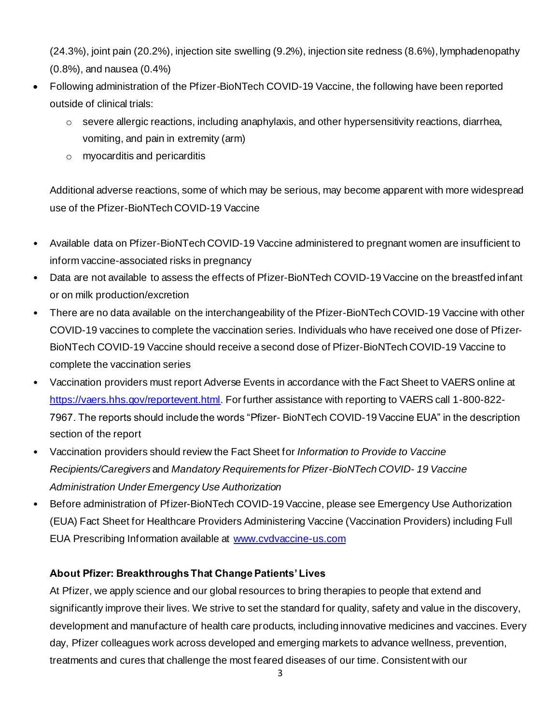(24.3%), joint pain (20.2%), injection site swelling (9.2%), injection site redness (8.6%), lymphadenopathy (0.8%), and nausea (0.4%)

- Following administration of the Pfizer-BioNTech COVID-19 Vaccine, the following have been reported outside of clinical trials:
	- $\circ$  severe allergic reactions, including anaphylaxis, and other hypersensitivity reactions, diarrhea, vomiting, and pain in extremity (arm)
	- o myocarditis and pericarditis

Additional adverse reactions, some of which may be serious, may become apparent with more widespread use of the Pfizer-BioNTech COVID-19 Vaccine

- Available data on Pfizer-BioNTech COVID-19 Vaccine administered to pregnant women are insufficient to inform vaccine-associated risks in pregnancy
- Data are not available to assess the effects of Pfizer-BioNTech COVID-19 Vaccine on the breastfed infant or on milk production/excretion
- There are no data available on the interchangeability of the Pfizer-BioNTech COVID-19 Vaccine with other COVID-19 vaccines to complete the vaccination series. Individuals who have received one dose of Pfizer-BioNTech COVID-19 Vaccine should receive a second dose of Pfizer-BioNTech COVID-19 Vaccine to complete the vaccination series
- Vaccination providers must report Adverse Events in accordance with the Fact Sheet to VAERS online at <https://vaers.hhs.gov/reportevent.html>. For further assistance with reporting to VAERS call 1-800-822-7967. The reports should include the words "Pfizer- BioNTech COVID-19 Vaccine EUA" in the description section of the report
- Vaccination providers should review the Fact Sheet for *Information to Provide to Vaccine Recipients/Caregivers* and *Mandatory Requirements for Pfizer-BioNTech COVID- 19 Vaccine Administration Under Emergency Use Authorization*
- Before administration of Pfizer-BioNTech COVID-19 Vaccine, please see Emergency Use Authorization (EUA) Fact Sheet for Healthcare Providers Administering Vaccine (Vaccination Providers) including Full EUA Prescribing Information available at [www.cvdvaccine-us.com](http://www.cvdvaccine-us.com/)

# **About Pfizer: Breakthroughs That Change Patients' Lives**

At Pfizer, we apply science and our global resources to bring therapies to people that extend and significantly improve their lives. We strive to set the standard for quality, safety and value in the discovery, development and manufacture of health care products, including innovative medicines and vaccines. Every day, Pfizer colleagues work across developed and emerging markets to advance wellness, prevention, treatments and cures that challenge the most feared diseases of our time. Consistent with our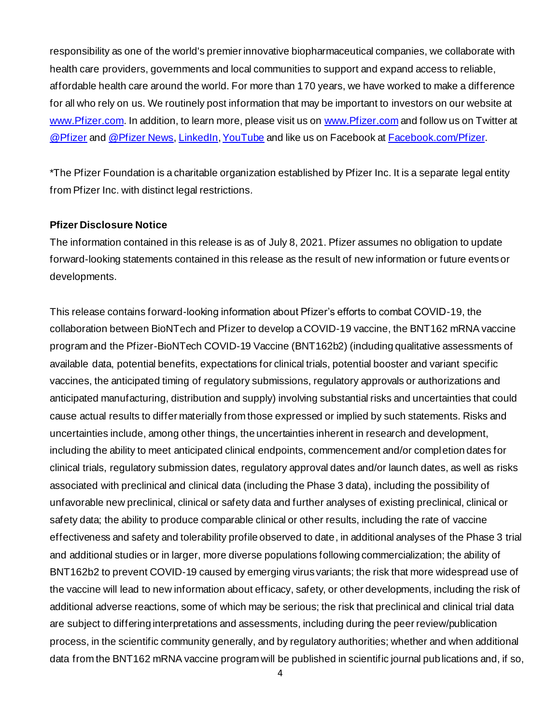responsibility as one of the world's premier innovative biopharmaceutical companies, we collaborate with health care providers, governments and local communities to support and expand access to reliable, affordable health care around the world. For more than 170 years, we have worked to make a difference for all who rely on us. We routinely post information that may be important to investors on our website at [www.Pfizer.com](http://www.pfizer.com/). In addition, to learn more, please visit us on [www.Pfizer.com](http://www.pfizer.com/) and follow us on Twitter at [@Pfizer](https://twitter.com/pfizer) and [@Pfizer News](https://twitter.com/pfizer_news)[, LinkedIn](https://www.linkedin.com/company/pfizer)[, YouTube](https://www.youtube.com/pfizer) and like us on Facebook a[t Facebook.com/Pfizer](https://www.facebook.com/Pfizer/).

\*The Pfizer Foundation is a charitable organization established by Pfizer Inc. It is a separate legal entity from Pfizer Inc. with distinct legal restrictions*.*

#### **Pfizer Disclosure Notice**

The information contained in this release is as of July 8, 2021. Pfizer assumes no obligation to update forward-looking statements contained in this release as the result of new information or future events or developments.

This release contains forward-looking information about Pfizer's efforts to combat COVID-19, the collaboration between BioNTech and Pfizer to develop a COVID-19 vaccine, the BNT162 mRNA vaccine program and the Pfizer-BioNTech COVID-19 Vaccine (BNT162b2) (including qualitative assessments of available data, potential benefits, expectations for clinical trials, potential booster and variant specific vaccines, the anticipated timing of regulatory submissions, regulatory approvals or authorizations and anticipated manufacturing, distribution and supply) involving substantial risks and uncertainties that could cause actual results to differ materially from those expressed or implied by such statements. Risks and uncertainties include, among other things, the uncertainties inherent in research and development, including the ability to meet anticipated clinical endpoints, commencement and/or completion dates for clinical trials, regulatory submission dates, regulatory approval dates and/or launch dates, as well as risks associated with preclinical and clinical data (including the Phase 3 data), including the possibility of unfavorable new preclinical, clinical or safety data and further analyses of existing preclinical, clinical or safety data; the ability to produce comparable clinical or other results, including the rate of vaccine effectiveness and safety and tolerability profile observed to date, in additional analyses of the Phase 3 trial and additional studies or in larger, more diverse populations following commercialization; the ability of BNT162b2 to prevent COVID-19 caused by emerging virus variants; the risk that more widespread use of the vaccine will lead to new information about efficacy, safety, or other developments, including the risk of additional adverse reactions, some of which may be serious; the risk that preclinical and clinical trial data are subject to differing interpretations and assessments, including during the peer review/publication process, in the scientific community generally, and by regulatory authorities; whether and when additional data from the BNT162 mRNA vaccine program will be published in scientific journal publications and, if so,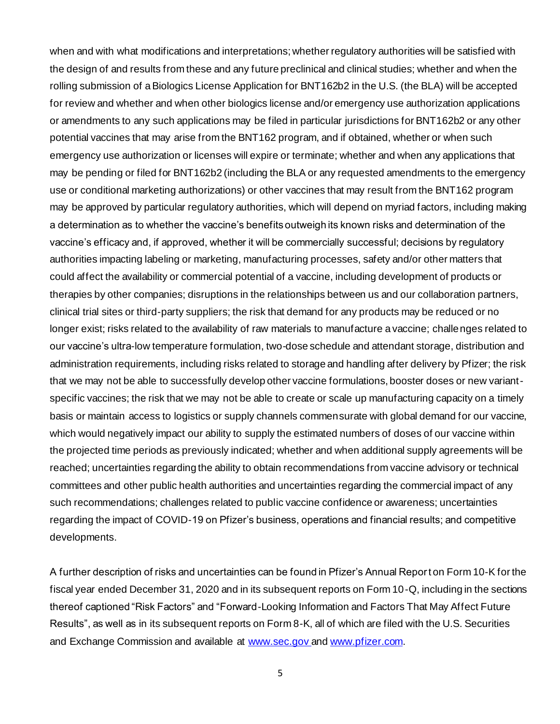when and with what modifications and interpretations; whether regulatory authorities will be satisfied with the design of and results from these and any future preclinical and clinical studies; whether and when the rolling submission of a Biologics License Application for BNT162b2 in the U.S. (the BLA) will be accepted for review and whether and when other biologics license and/or emergency use authorization applications or amendments to any such applications may be filed in particular jurisdictions for BNT162b2 or any other potential vaccines that may arise from the BNT162 program, and if obtained, whether or when such emergency use authorization or licenses will expire or terminate; whether and when any applications that may be pending or filed for BNT162b2 (including the BLA or any requested amendments to the emergency use or conditional marketing authorizations) or other vaccines that may result from the BNT162 program may be approved by particular regulatory authorities, which will depend on myriad factors, including making a determination as to whether the vaccine's benefits outweigh its known risks and determination of the vaccine's efficacy and, if approved, whether it will be commercially successful; decisions by regulatory authorities impacting labeling or marketing, manufacturing processes, safety and/or other matters that could affect the availability or commercial potential of a vaccine, including development of products or therapies by other companies; disruptions in the relationships between us and our collaboration partners, clinical trial sites or third-party suppliers; the risk that demand for any products may be reduced or no longer exist; risks related to the availability of raw materials to manufacture a vaccine; challenges related to our vaccine's ultra-low temperature formulation, two-dose schedule and attendant storage, distribution and administration requirements, including risks related to storage and handling after delivery by Pfizer; the risk that we may not be able to successfully develop other vaccine formulations, booster doses or new variantspecific vaccines; the risk that we may not be able to create or scale up manufacturing capacity on a timely basis or maintain access to logistics or supply channels commensurate with global demand for our vaccine, which would negatively impact our ability to supply the estimated numbers of doses of our vaccine within the projected time periods as previously indicated; whether and when additional supply agreements will be reached; uncertainties regarding the ability to obtain recommendations from vaccine advisory or technical committees and other public health authorities and uncertainties regarding the commercial impact of any such recommendations; challenges related to public vaccine confidence or awareness; uncertainties regarding the impact of COVID-19 on Pfizer's business, operations and financial results; and competitive developments.

A further description of risks and uncertainties can be found in Pfizer's Annual Report on Form 10-K for the fiscal year ended December 31, 2020 and in its subsequent reports on Form 10-Q, including in the sections thereof captioned "Risk Factors" and "Forward-Looking Information and Factors That May Affect Future Results", as well as in its subsequent reports on Form 8-K, all of which are filed with the U.S. Securities and Exchange Commission and available at [www.sec.gov](https://cts.businesswire.com/ct/CT?id=smartlink&url=https%3A%2F%2Fwww.globenewswire.com%2FTracker%3Fdata%3DRnYjuX1qNnk63wnFRI2njqkWCUtSvj6x_99MqPLwYIXuudw4effilg2LyEquwqm-7QGJ6tM6dhKt8Yb6iY-5gw%3D%3D&esheet=52442925&newsitemid=20210609005930&lan=en-US&anchor=www.sec.gov&index=13&md5=7d5c230ef01c472421ce1b78d60a23f4) and [www.pfizer.com](https://cts.businesswire.com/ct/CT?id=smartlink&url=https%3A%2F%2Fwww.globenewswire.com%2FTracker%3Fdata%3DRnYjuX1qNnk63wnFRI2njhMtuWVC6S5kOg8JnuFHwPyIzH1O7AiSzrr-wECJd2hrMZ7668ALHee8mVEXVNXWFA%3D%3D&esheet=52442925&newsitemid=20210609005930&lan=en-US&anchor=www.pfizer.com&index=14&md5=0ae29cd50f9921cb040922c28d71c15d).

5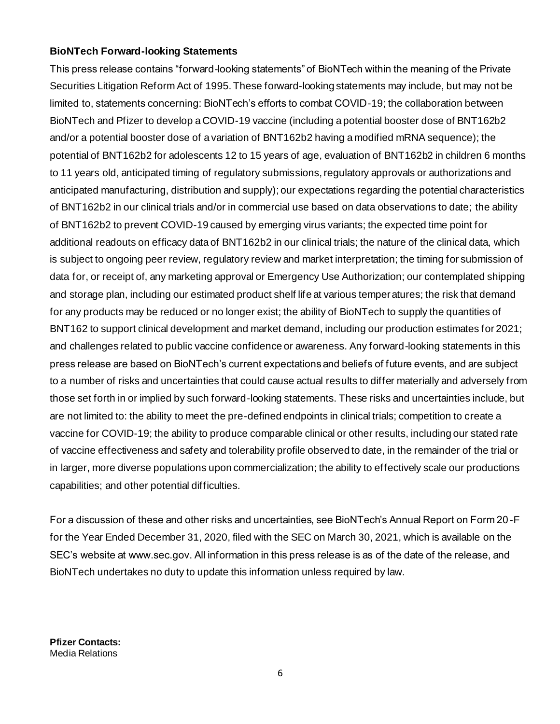### **BioNTech Forward-looking Statements**

This press release contains "forward-looking statements" of BioNTech within the meaning of the Private Securities Litigation Reform Act of 1995. These forward-looking statements may include, but may not be limited to, statements concerning: BioNTech's efforts to combat COVID-19; the collaboration between BioNTech and Pfizer to develop a COVID-19 vaccine (including a potential booster dose of BNT162b2 and/or a potential booster dose of a variation of BNT162b2 having a modified mRNA sequence); the potential of BNT162b2 for adolescents 12 to 15 years of age, evaluation of BNT162b2 in children 6 months to 11 years old, anticipated timing of regulatory submissions, regulatory approvals or authorizations and anticipated manufacturing, distribution and supply); our expectations regarding the potential characteristics of BNT162b2 in our clinical trials and/or in commercial use based on data observations to date; the ability of BNT162b2 to prevent COVID-19 caused by emerging virus variants; the expected time point for additional readouts on efficacy data of BNT162b2 in our clinical trials; the nature of the clinical data, which is subject to ongoing peer review, regulatory review and market interpretation; the timing for submission of data for, or receipt of, any marketing approval or Emergency Use Authorization; our contemplated shipping and storage plan, including our estimated product shelf life at various temperatures; the risk that demand for any products may be reduced or no longer exist; the ability of BioNTech to supply the quantities of BNT162 to support clinical development and market demand, including our production estimates for 2021; and challenges related to public vaccine confidence or awareness. Any forward-looking statements in this press release are based on BioNTech's current expectations and beliefs of future events, and are subject to a number of risks and uncertainties that could cause actual results to differ materially and adversely from those set forth in or implied by such forward-looking statements. These risks and uncertainties include, but are not limited to: the ability to meet the pre-defined endpoints in clinical trials; competition to create a vaccine for COVID-19; the ability to produce comparable clinical or other results, including our stated rate of vaccine effectiveness and safety and tolerability profile observed to date, in the remainder of the trial or in larger, more diverse populations upon commercialization; the ability to effectively scale our productions capabilities; and other potential difficulties.

For a discussion of these and other risks and uncertainties, see BioNTech's Annual Report on Form 20 -F for the Year Ended December 31, 2020, filed with the SEC on March 30, 2021, which is available on the SEC's website at www.sec.gov. All information in this press release is as of the date of the release, and BioNTech undertakes no duty to update this information unless required by law.

**Pfizer Contacts:** Media Relations